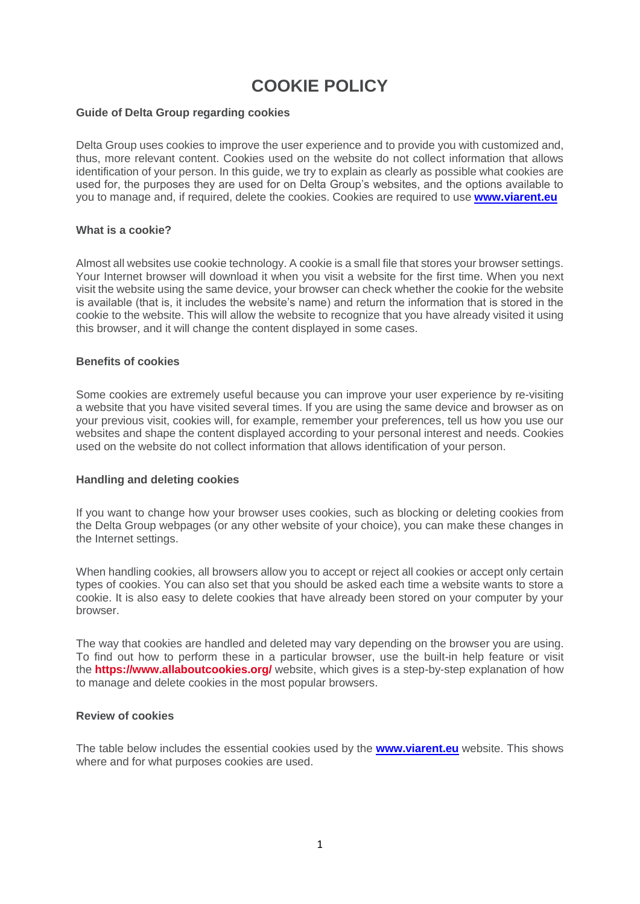# **COOKIE POLICY**

## **Guide of Delta Group regarding cookies**

Delta Group uses cookies to improve the user experience and to provide you with customized and, thus, more relevant content. Cookies used on the website do not collect information that allows identification of your person. In this guide, we try to explain as clearly as possible what cookies are used for, the purposes they are used for on Delta Group's websites, and the options available to you to manage and, if required, delete the cookies. Cookies are required to use **[www.viarent.eu](http://www.viarent.eu/)**

# **What is a cookie?**

Almost all websites use cookie technology. A cookie is a small file that stores your browser settings. Your Internet browser will download it when you visit a website for the first time. When you next visit the website using the same device, your browser can check whether the cookie for the website is available (that is, it includes the website's name) and return the information that is stored in the cookie to the website. This will allow the website to recognize that you have already visited it using this browser, and it will change the content displayed in some cases.

#### **Benefits of cookies**

Some cookies are extremely useful because you can improve your user experience by re-visiting a website that you have visited several times. If you are using the same device and browser as on your previous visit, cookies will, for example, remember your preferences, tell us how you use our websites and shape the content displayed according to your personal interest and needs. Cookies used on the website do not collect information that allows identification of your person.

## **Handling and deleting cookies**

If you want to change how your browser uses cookies, such as blocking or deleting cookies from the Delta Group webpages (or any other website of your choice), you can make these changes in the Internet settings.

When handling cookies, all browsers allow you to accept or reject all cookies or accept only certain types of cookies. You can also set that you should be asked each time a website wants to store a cookie. It is also easy to delete cookies that have already been stored on your computer by your browser.

The way that cookies are handled and deleted may vary depending on the browser you are using. To find out how to perform these in a particular browser, use the built-in help feature or visit the **<https://www.allaboutcookies.org/>** website, which gives is a step-by-step explanation of how to manage and delete cookies in the most popular browsers.

# **Review of cookies**

The table below includes the essential cookies used by the **[www.viarent.eu](http://www.viarent.eu/)** website. This shows where and for what purposes cookies are used.